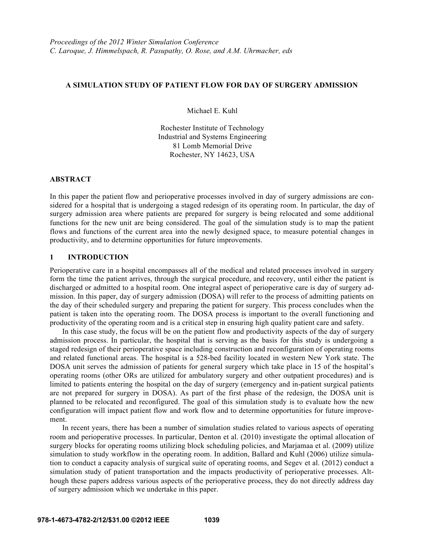# **A SIMULATION STUDY OF PATIENT FLOW FOR DAY OF SURGERY ADMISSION**

Michael E. Kuhl

Rochester Institute of Technology Industrial and Systems Engineering 81 Lomb Memorial Drive Rochester, NY 14623, USA

#### **ABSTRACT**

In this paper the patient flow and perioperative processes involved in day of surgery admissions are considered for a hospital that is undergoing a staged redesign of its operating room. In particular, the day of surgery admission area where patients are prepared for surgery is being relocated and some additional functions for the new unit are being considered. The goal of the simulation study is to map the patient flows and functions of the current area into the newly designed space, to measure potential changes in productivity, and to determine opportunities for future improvements.

# **1 INTRODUCTION**

Perioperative care in a hospital encompasses all of the medical and related processes involved in surgery form the time the patient arrives, through the surgical procedure, and recovery, until either the patient is discharged or admitted to a hospital room. One integral aspect of perioperative care is day of surgery admission. In this paper, day of surgery admission (DOSA) will refer to the process of admitting patients on the day of their scheduled surgery and preparing the patient for surgery. This process concludes when the patient is taken into the operating room. The DOSA process is important to the overall functioning and productivity of the operating room and is a critical step in ensuring high quality patient care and safety.

 In this case study, the focus will be on the patient flow and productivity aspects of the day of surgery admission process. In particular, the hospital that is serving as the basis for this study is undergoing a staged redesign of their perioperative space including construction and reconfiguration of operating rooms and related functional areas. The hospital is a 528-bed facility located in western New York state. The DOSA unit serves the admission of patients for general surgery which take place in 15 of the hospital's operating rooms (other ORs are utilized for ambulatory surgery and other outpatient procedures) and is limited to patients entering the hospital on the day of surgery (emergency and in-patient surgical patients are not prepared for surgery in DOSA). As part of the first phase of the redesign, the DOSA unit is planned to be relocated and reconfigured. The goal of this simulation study is to evaluate how the new configuration will impact patient flow and work flow and to determine opportunities for future improvement.

 In recent years, there has been a number of simulation studies related to various aspects of operating room and perioperative processes. In particular, Denton et al. (2010) investigate the optimal allocation of surgery blocks for operating rooms utilizing block scheduling policies, and Marjamaa et al. (2009) utilize simulation to study workflow in the operating room. In addition, Ballard and Kuhl (2006) utilize simulation to conduct a capacity analysis of surgical suite of operating rooms, and Segev et al. (2012) conduct a simulation study of patient transportation and the impacts productivity of perioperative processes. Although these papers address various aspects of the perioperative process, they do not directly address day of surgery admission which we undertake in this paper.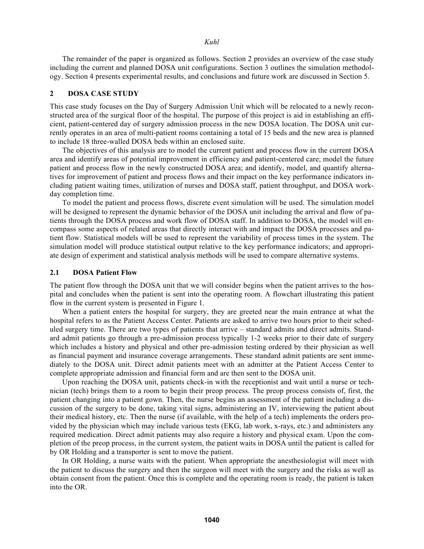The remainder of the paper is organized as follows. Section 2 provides an overview of the case study including the current and planned DOSA unit configurations. Section 3 outlines the simulation methodology. Section 4 presents experimental results, and conclusions and future work are discussed in Section 5.

#### **2 DOSA CASE STUDY**

This case study focuses on the Day of Surgery Admission Unit which will be relocated to a newly reconstructed area of the surgical floor of the hospital. The purpose of this project is aid in establishing an efficient, patient-centered day of surgery admission process in the new DOSA location. The DOSA unit currently operates in an area of multi-patient rooms containing a total of 15 beds and the new area is planned to include 18 three-walled DOSA beds within an enclosed suite.

 The objectives of this analysis are to model the current patient and process flow in the current DOSA area and identify areas of potential improvement in efficiency and patient-centered care; model the future patient and process flow in the newly constructed DOSA area; and identify, model, and quantify alternatives for improvement of patient and process flows and their impact on the key performance indicators including patient waiting times, utilization of nurses and DOSA staff, patient throughput, and DOSA workday completion time.

 To model the patient and process flows, discrete event simulation will be used. The simulation model will be designed to represent the dynamic behavior of the DOSA unit including the arrival and flow of patients through the DOSA process and work flow of DOSA staff. In addition to DOSA, the model will encompass some aspects of related areas that directly interact with and impact the DOSA processes and patient flow. Statistical models will be used to represent the variability of process times in the system. The simulation model will produce statistical output relative to the key performance indicators; and appropriate design of experiment and statistical analysis methods will be used to compare alternative systems.

#### **2.1 DOSA Patient Flow**

The patient flow through the DOSA unit that we will consider begins when the patient arrives to the hospital and concludes when the patient is sent into the operating room. A flowchart illustrating this patient flow in the current system is presented in Figure 1.

 When a patient enters the hospital for surgery, they are greeted near the main entrance at what the hospital refers to as the Patient Access Center. Patients are asked to arrive two hours prior to their scheduled surgery time. There are two types of patients that arrive – standard admits and direct admits. Standard admit patients go through a pre-admission process typically 1-2 weeks prior to their date of surgery which includes a history and physical and other pre-admission testing ordered by their physician as well as financial payment and insurance coverage arrangements. These standard admit patients are sent immediately to the DOSA unit. Direct admit patients meet with an admitter at the Patient Access Center to complete appropriate admission and financial form and are then sent to the DOSA unit.

 Upon reaching the DOSA unit, patients check-in with the receptionist and wait until a nurse or technician (tech) brings them to a room to begin their preop process. The preop process consists of, first, the patient changing into a patient gown. Then, the nurse begins an assessment of the patient including a discussion of the surgery to be done, taking vital signs, administering an IV, interviewing the patient about their medical history, etc. Then the nurse (if available, with the help of a tech) implements the orders provided by the physician which may include various tests (EKG, lab work, x-rays, etc.) and administers any required medication. Direct admit patients may also require a history and physical exam. Upon the completion of the preop process, in the current system, the patient waits in DOSA until the patient is called for by OR Holding and a transporter is sent to move the patient.

 In OR Holding, a nurse waits with the patient. When appropriate the anesthesiologist will meet with the patient to discuss the surgery and then the surgeon will meet with the surgery and the risks as well as obtain consent from the patient. Once this is complete and the operating room is ready, the patient is taken into the OR.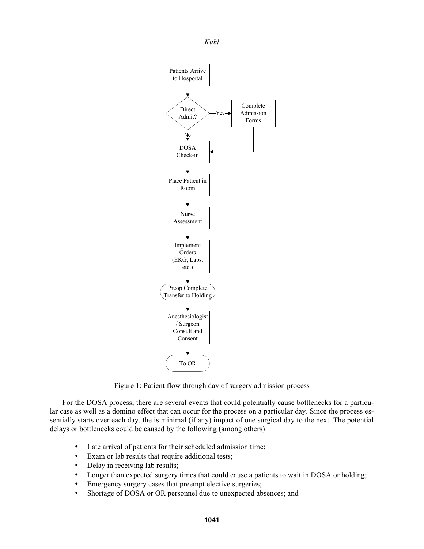

Figure 1: Patient flow through day of surgery admission process

For the DOSA process, there are several events that could potentially cause bottlenecks for a particular case as well as a domino effect that can occur for the process on a particular day. Since the process essentially starts over each day, the is minimal (if any) impact of one surgical day to the next. The potential delays or bottlenecks could be caused by the following (among others):

- Late arrival of patients for their scheduled admission time;
- Exam or lab results that require additional tests;
- Delay in receiving lab results;
- Longer than expected surgery times that could cause a patients to wait in DOSA or holding;
- Emergency surgery cases that preempt elective surgeries;
- Shortage of DOSA or OR personnel due to unexpected absences; and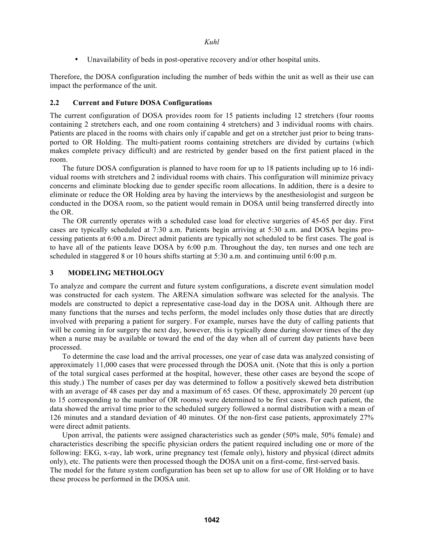• Unavailability of beds in post-operative recovery and/or other hospital units.

Therefore, the DOSA configuration including the number of beds within the unit as well as their use can impact the performance of the unit.

# **2.2 Current and Future DOSA Configurations**

The current configuration of DOSA provides room for 15 patients including 12 stretchers (four rooms containing 2 stretchers each, and one room containing 4 stretchers) and 3 individual rooms with chairs. Patients are placed in the rooms with chairs only if capable and get on a stretcher just prior to being transported to OR Holding. The multi-patient rooms containing stretchers are divided by curtains (which makes complete privacy difficult) and are restricted by gender based on the first patient placed in the room.

 The future DOSA configuration is planned to have room for up to 18 patients including up to 16 individual rooms with stretchers and 2 individual rooms with chairs. This configuration will minimize privacy concerns and eliminate blocking due to gender specific room allocations. In addition, there is a desire to eliminate or reduce the OR Holding area by having the interviews by the anesthesiologist and surgeon be conducted in the DOSA room, so the patient would remain in DOSA until being transferred directly into the OR.

 The OR currently operates with a scheduled case load for elective surgeries of 45-65 per day. First cases are typically scheduled at 7:30 a.m. Patients begin arriving at 5:30 a.m. and DOSA begins processing patients at 6:00 a.m. Direct admit patients are typically not scheduled to be first cases. The goal is to have all of the patients leave DOSA by 6:00 p.m. Throughout the day, ten nurses and one tech are scheduled in staggered 8 or 10 hours shifts starting at 5:30 a.m. and continuing until 6:00 p.m.

# **3 MODELING METHOLOGY**

To analyze and compare the current and future system configurations, a discrete event simulation model was constructed for each system. The ARENA simulation software was selected for the analysis. The models are constructed to depict a representative case-load day in the DOSA unit. Although there are many functions that the nurses and techs perform, the model includes only those duties that are directly involved with preparing a patient for surgery. For example, nurses have the duty of calling patients that will be coming in for surgery the next day, however, this is typically done during slower times of the day when a nurse may be available or toward the end of the day when all of current day patients have been processed.

 To determine the case load and the arrival processes, one year of case data was analyzed consisting of approximately 11,000 cases that were processed through the DOSA unit. (Note that this is only a portion of the total surgical cases performed at the hospital, however, these other cases are beyond the scope of this study.) The number of cases per day was determined to follow a positively skewed beta distribution with an average of 48 cases per day and a maximum of 65 cases. Of these, approximately 20 percent (up to 15 corresponding to the number of OR rooms) were determined to be first cases. For each patient, the data showed the arrival time prior to the scheduled surgery followed a normal distribution with a mean of 126 minutes and a standard deviation of 40 minutes. Of the non-first case patients, approximately 27% were direct admit patients.

 Upon arrival, the patients were assigned characteristics such as gender (50% male, 50% female) and characteristics describing the specific physician orders the patient required including one or more of the following: EKG, x-ray, lab work, urine pregnancy test (female only), history and physical (direct admits only), etc. The patients were then processed though the DOSA unit on a first-come, first-served basis. The model for the future system configuration has been set up to allow for use of OR Holding or to have these process be performed in the DOSA unit.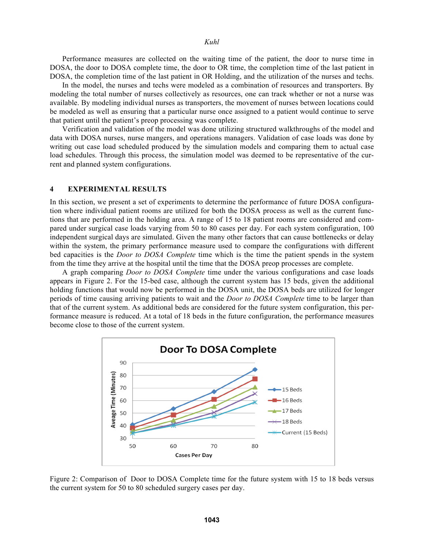Performance measures are collected on the waiting time of the patient, the door to nurse time in DOSA, the door to DOSA complete time, the door to OR time, the completion time of the last patient in DOSA, the completion time of the last patient in OR Holding, and the utilization of the nurses and techs.

 In the model, the nurses and techs were modeled as a combination of resources and transporters. By modeling the total number of nurses collectively as resources, one can track whether or not a nurse was available. By modeling individual nurses as transporters, the movement of nurses between locations could be modeled as well as ensuring that a particular nurse once assigned to a patient would continue to serve that patient until the patient's preop processing was complete.

 Verification and validation of the model was done utilizing structured walkthroughs of the model and data with DOSA nurses, nurse mangers, and operations managers. Validation of case loads was done by writing out case load scheduled produced by the simulation models and comparing them to actual case load schedules. Through this process, the simulation model was deemed to be representative of the current and planned system configurations.

#### **4 EXPERIMENTAL RESULTS**

In this section, we present a set of experiments to determine the performance of future DOSA configuration where individual patient rooms are utilized for both the DOSA process as well as the current functions that are performed in the holding area. A range of 15 to 18 patient rooms are considered and compared under surgical case loads varying from 50 to 80 cases per day. For each system configuration, 100 independent surgical days are simulated. Given the many other factors that can cause bottlenecks or delay within the system, the primary performance measure used to compare the configurations with different bed capacities is the *Door to DOSA Complete* time which is the time the patient spends in the system from the time they arrive at the hospital until the time that the DOSA preop processes are complete.

 A graph comparing *Door to DOSA Complete* time under the various configurations and case loads appears in Figure 2. For the 15-bed case, although the current system has 15 beds, given the additional holding functions that would now be performed in the DOSA unit, the DOSA beds are utilized for longer periods of time causing arriving patients to wait and the *Door to DOSA Complete* time to be larger than that of the current system. As additional beds are considered for the future system configuration, this performance measure is reduced. At a total of 18 beds in the future configuration, the performance measures become close to those of the current system.



Figure 2: Comparison of Door to DOSA Complete time for the future system with 15 to 18 beds versus the current system for 50 to 80 scheduled surgery cases per day.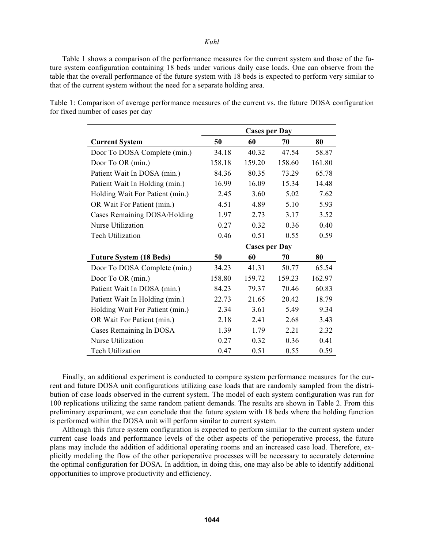Table 1 shows a comparison of the performance measures for the current system and those of the future system configuration containing 18 beds under various daily case loads. One can observe from the table that the overall performance of the future system with 18 beds is expected to perform very similar to that of the current system without the need for a separate holding area.

|                                 | <b>Cases per Day</b> |        |        |        |  |
|---------------------------------|----------------------|--------|--------|--------|--|
| <b>Current System</b>           | 50                   | 60     | 70     | 80     |  |
| Door To DOSA Complete (min.)    | 34.18                | 40.32  | 47.54  | 58.87  |  |
| Door To OR (min.)               | 158.18               | 159.20 | 158.60 | 161.80 |  |
| Patient Wait In DOSA (min.)     | 84.36                | 80.35  | 73.29  | 65.78  |  |
| Patient Wait In Holding (min.)  | 16.99                | 16.09  | 15.34  | 14.48  |  |
| Holding Wait For Patient (min.) | 2.45                 | 3.60   | 5.02   | 7.62   |  |
| OR Wait For Patient (min.)      | 4.51                 | 4.89   | 5.10   | 5.93   |  |
| Cases Remaining DOSA/Holding    | 1.97                 | 2.73   | 3.17   | 3.52   |  |
| Nurse Utilization               | 0.27                 | 0.32   | 0.36   | 0.40   |  |
| <b>Tech Utilization</b>         | 0.46                 | 0.51   | 0.55   | 0.59   |  |
|                                 | <b>Cases per Day</b> |        |        |        |  |
| <b>Future System (18 Beds)</b>  | 50                   | 60     | 70     | 80     |  |
| Door To DOSA Complete (min.)    | 34.23                | 41.31  | 50.77  | 65.54  |  |
| Door To OR (min.)               | 158.80               | 159.72 | 159.23 | 162.97 |  |
| Patient Wait In DOSA (min.)     | 84.23                | 79.37  | 70.46  | 60.83  |  |
| Patient Wait In Holding (min.)  | 22.73                | 21.65  | 20.42  | 18.79  |  |
| Holding Wait For Patient (min.) | 2.34                 | 3.61   | 5.49   | 9.34   |  |
| OR Wait For Patient (min.)      | 2.18                 | 2.41   | 2.68   | 3.43   |  |
| Cases Remaining In DOSA         | 1.39                 | 1.79   | 2.21   | 2.32   |  |
| Nurse Utilization               | 0.27                 | 0.32   | 0.36   | 0.41   |  |
| <b>Tech Utilization</b>         | 0.47                 | 0.51   | 0.55   | 0.59   |  |

Table 1: Comparison of average performance measures of the current vs. the future DOSA configuration for fixed number of cases per day

 Finally, an additional experiment is conducted to compare system performance measures for the current and future DOSA unit configurations utilizing case loads that are randomly sampled from the distribution of case loads observed in the current system. The model of each system configuration was run for 100 replications utilizing the same random patient demands. The results are shown in Table 2. From this preliminary experiment, we can conclude that the future system with 18 beds where the holding function is performed within the DOSA unit will perform similar to current system.

Although this future system configuration is expected to perform similar to the current system under current case loads and performance levels of the other aspects of the perioperative process, the future plans may include the addition of additional operating rooms and an increased case load. Therefore, explicitly modeling the flow of the other perioperative processes will be necessary to accurately determine the optimal configuration for DOSA. In addition, in doing this, one may also be able to identify additional opportunities to improve productivity and efficiency.